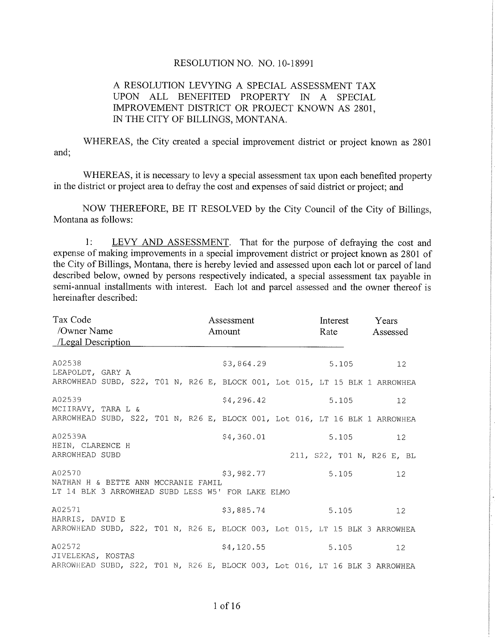## RESOLUTION NO. NO. 1O-18991

## A RESOLUTION LEVYING A SPECIAL ASSESSMENT TAX UPON ALL BENEFITED PROPERTY IN A SPECIAL IMPROVEMENT DISTRICT OR PROJECT KNOWN AS 2801. IN THE CITY OF BILLINGS, MONTANA.

WHEREAS, the City created a special improvement district or project known as 2801 and;

WHEREAS, it is necessary to levy a special assessment tax upon each benefited property in the district or project area to defray the cost and expenses of said district or project; and

NOW THEREFORE, BE IT RESOLVED by the City Council of the City of Billings, Montana as follows:

1: LEVY AND ASSESSMENT. That for the purpose of defraying the cost and expense of making improvements in a special improvement district or project known as 2801 of the City of Billings, Montana, there is hereby levied and assessed upon each lot or parcel of land described below, owned by persons respectively indicated, a special assessment tax payable in semi-annual installments with interest. Each lot and parcel assessed and the owner thereof is hereinafter described:

| Tax Code<br>/Owner Name<br>/Legal Description                               |  |  |  |  | Assessment<br>Amount |  |            |  |  | Interest<br>Rate |       |  | Years<br>Assessed |                            |  |
|-----------------------------------------------------------------------------|--|--|--|--|----------------------|--|------------|--|--|------------------|-------|--|-------------------|----------------------------|--|
| A02538<br>LEAPOLDT, GARY A                                                  |  |  |  |  |                      |  | \$3,864.29 |  |  |                  | 5.105 |  |                   | 12 <sup>°</sup>            |  |
| ARROWHEAD SUBD, S22, T01 N, R26 E, BLOCK 001, Lot 015, LT 15 BLK 1 ARROWHEA |  |  |  |  |                      |  |            |  |  |                  |       |  |                   |                            |  |
| A02539<br>MCIIRAVY, TARA L &                                                |  |  |  |  |                      |  | \$4,296.42 |  |  | 5.105            |       |  | 12 <sup>7</sup>   |                            |  |
| ARROWHEAD SUBD, S22, T01 N, R26 E, BLOCK 001, Lot 016, LT 16 BLK 1 ARROWHEA |  |  |  |  |                      |  |            |  |  |                  |       |  |                   |                            |  |
| A02539A<br>HEIN, CLARENCE H                                                 |  |  |  |  |                      |  | \$4,360.01 |  |  |                  | 5.105 |  |                   | 12 <sup>°</sup>            |  |
| ARROWHEAD SUBD                                                              |  |  |  |  |                      |  |            |  |  |                  |       |  |                   | 211, S22, T01 N, R26 E, BL |  |
| A02570<br>NATHAN H & BETTE ANN MCCRANIE FAMIL                               |  |  |  |  |                      |  | \$3,982.77 |  |  |                  | 5.105 |  |                   | 12 <sup>°</sup>            |  |
| LT 14 BLK 3 ARROWHEAD SUBD LESS W5' FOR LAKE ELMO                           |  |  |  |  |                      |  |            |  |  |                  |       |  |                   |                            |  |
| A02571<br>HARRIS, DAVID E                                                   |  |  |  |  |                      |  | \$3,885.74 |  |  |                  | 5.105 |  |                   | $12 \overline{ }$          |  |
| ARROWHEAD SUBD, S22, T01 N, R26 E, BLOCK 003, Lot 015, LT 15 BLK 3 ARROWHEA |  |  |  |  |                      |  |            |  |  |                  |       |  |                   |                            |  |
| A02572<br>JIVELEKAS, KOSTAS                                                 |  |  |  |  |                      |  | \$4,120.55 |  |  |                  | 5.105 |  |                   | $12 \overline{ }$          |  |
| ARROWHEAD SUBD, S22, T01 N, R26 E, BLOCK 003, Lot 016, LT 16 BLK 3 ARROWHEA |  |  |  |  |                      |  |            |  |  |                  |       |  |                   |                            |  |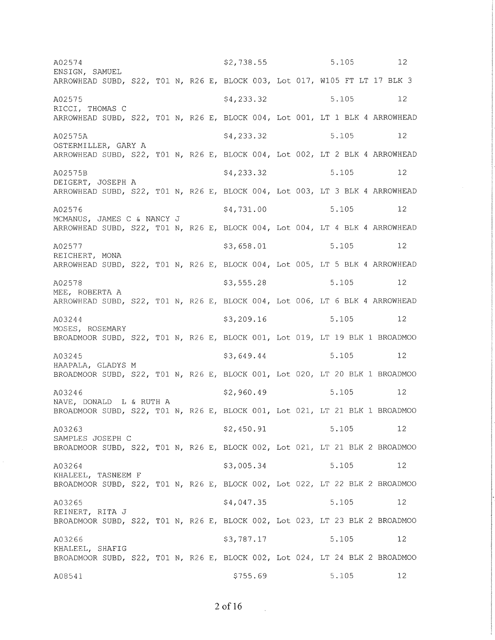$5.105$  12  $$2,738.55$ A02574 ENSIGN, SAMUEL ARROWHEAD SUBD, S22, T01 N, R26 E, BLOCK 003, Lot 017, W105 FT LT 17 BLK 3 A02575 \$4,233.32 5.105  $12$ RICCI, THOMAS C ARROWHEAD SUBD, S22, T01 N, R26 E, BLOCK 004, Lot 001, LT 1 BLK 4 ARROWHEAD \$4,233.32 5.105  $12$ A02575A OSTERMILLER, GARY A ARROWHEAD SUBD, S22, T01 N, R26 E, BLOCK 004, Lot 002, LT 2 BLK 4 ARROWHEAD A02575B \$4,233.32 5.105  $12$ DEIGERT, JOSEPH A ARROWHEAD SUBD, S22, T01 N, R26 E, BLOCK 004, Lot 003, LT 3 BLK 4 ARROWHEAD \$4,731.00 5.105  $12$ A02576 MCMANUS, JAMES C & NANCY J ARROWHEAD SUBD, S22, T01 N, R26 E, BLOCK 004, Lot 004, LT 4 BLK 4 ARROWHEAD \$3,658.01 5.105  $12$ A02577 REICHERT, MONA ARROWHEAD SUBD, S22, T01 N, R26 E, BLOCK 004, Lot 005, LT 5 BLK 4 ARROWHEAD A02578  $$3,555.28$ 5.105  $12$ MEE, ROBERTA A ARROWHEAD SUBD, S22, T01 N, R26 E, BLOCK 004, Lot 006, LT 6 BLK 4 ARROWHEAD \$3,209.16 5.105  $12$ A03244 MOSES, ROSEMARY BROADMOOR SUBD, S22, T01 N, R26 E, BLOCK 001, Lot 019, LT 19 BLK 1 BROADMOO \$3,649.44 5.105 12 A03245 HAAPALA, GLADYS M BROADMOOR SUBD, S22, T01 N, R26 E, BLOCK 001, Lot 020, LT 20 BLK 1 BROADMOO \$2,960.49 5.105  $12$ A03246 NAVE, DONALD L & RUTH A BROADMOOR SUBD, S22, T01 N, R26 E, BLOCK 001, Lot 021, LT 21 BLK 1 BROADMOO A03263 \$2,450.91 5.105  $12$ SAMPLES JOSEPH C BROADMOOR SUBD, S22, T01 N, R26 E, BLOCK 002, Lot 021, LT 21 BLK 2 BROADMOO A03264 \$3,005.34 5.105  $12$ KHALEEL, TASNEEM F BROADMOOR SUBD, S22, T01 N, R26 E, BLOCK 002, Lot 022, LT 22 BLK 2 BROADMOO \$4,047.35 A03265 5.105  $12$ REINERT, RITA J BROADMOOR SUBD, S22, T01 N, R26 E, BLOCK 002, Lot 023, LT 23 BLK 2 BROADMOO \$3,787.17 A03266 5.105  $12$ KHALEEL, SHAFIG BROADMOOR SUBD, S22, T01 N, R26 E, BLOCK 002, Lot 024, LT 24 BLK 2 BROADMOO  $$755.69$ 5.105 12 A08541

 $2$  of 16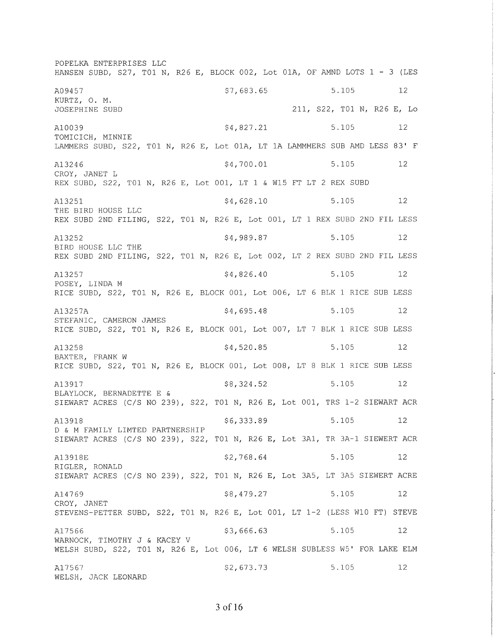POPELKA ENTERPRISES LLC HANSEN SUBD, S27, T01 N, R26 E, BLOCK 002, Lot 01A, OF AMND LOTS  $1 - 3$  (LES A09457 KURTZ, O. M. JOSEPH]NE SUBD \$7, 683.65 A10039 \$4,827.21 5.105 12 TOMICICH, MINNIE LAMMERS SUBD, S22, TO1 N, R26 E, Lot 01A, LT 1A LAMMMERS SUB AMD LESS 83' F A13246 \$4,700.01 5.105 12 CROY, JANET L REX SUBD, S22, T01 N, R26 E, Lot 001, LT 1 & W15 FT LT 2 REX SUBD A13251 5.105 5.105 5.105 5.105 5.105 5.105 THE BIRD HOUSE LLC REX SUBD 2ND FILING/ 522, T01 N, R26 E, Lot 001, LT 1 REX SUBD 2ND FIL LESS A13252 5.105 5.105 5.105 5.105 5.105 5.105 BÏRD HOUSE LLC THE REX SUBD 2ND FILING, 522, T01 N, R26 E, Lot 002, LT 2 REX SUBD 2ND FIL LESS  $A13257$   $$4,826.40$   $$5.105$   $12$ POSEY, LINDA <sup>M</sup> RICE SUBD, S22, T01 N, R26 E, BLOCK 001, Lot 006, LT 6 BLK 1 RICE SUB LESS A13257A 3257A S4,695.48 5.105 12 STEFANTC, CAMERON JAMES RICE SUBD, S22, T01 N, R26 E, BLOCK 001, Lot 007, LT 7 BLK 1 RICE SUB LESS A13258 **5.105** 5.105 5.105 BAXTER, FRANK W RICE SUBD, S22, T01 N, R26 E, BLOCK 001, Lot 008, LT 8 BLK 1 RICE SUB LESS A13917 5.105 58,324.52 5.105 BLAYLOCK, BERNADETTE E & SIEWART ACRES (C/S NO 239), 522, T01 N, R26 E, Lot 001, TRS 1-2 SIEWART ACR A13918 56,333.89 5.105 12 D & M FAMILY LIMTED PARTNERSHIP SIEWART ACRES (C/S NO 239), S22, T01 N, R26 E, Lot 3A1, TR 3A-1 SIEWERT ACR A13918E \$2,768.64 5.105 5 RIGLER, RONALD SIEWART ACRES (C/S NO 239), S22, T01 N, R26 E, Lot 3A5, LT 3A5 SIEWERT ACRE A14769 S8, 479.27 5.105 12 CROY, JANET STEVENS-PETTER SUBD/ 522, T01 N, R26 E, Lot 001, LT I-2 (LESS W10 FT) STEVE A17566 5.105 5.105 5.105 5.105 5.105 5.105 WARNOCK, TIMOTHY J & KACEY <sup>V</sup> WELSH SUBD, 522, T01 N, R26 E, Lot 006, LT 6 WELSH SUBLESS W5' FOR LAKE ELM A17567 WELSH, JACK LEONARD ç2,613.13 5.105 <sup>12</sup> 211, S22, T01 N, R26 E, Lo 5.105 L2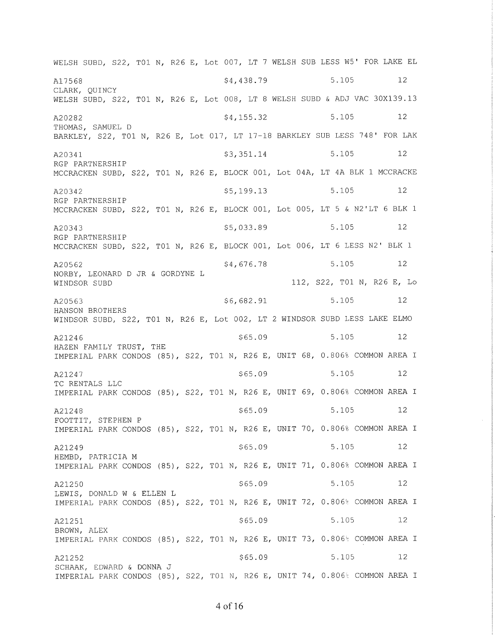WELSH SUBD, S22, T01 N, R26 E, Lot 007, LT 7 WELSH SUB LESS W5' FOR LAKE EL 5.105 \$4,438.79 12 A17568 CLARK, QUINCY WELSH SUBD, S22, T01 N, R26 E, Lot 008, LT 8 WELSH SUBD & ADJ VAC 30X139.13 5.105 12 A20282  $$4,155.32$ THOMAS, SAMUEL D BARKLEY, S22, T01 N, R26 E, Lot 017, LT 17-18 BARKLEY SUB LESS 748' FOR LAK A20341  $$3,351.14$ 5.105 12 RGP PARTNERSHIP MCCRACKEN SUBD, S22, T01 N, R26 E, BLOCK 001, Lot 04A, LT 4A BLK 1 MCCRACKE \$5,199.13 5.105  $12$ A20342 RGP PARTNERSHIP MCCRACKEN SUBD, S22, T01 N, R26 E, BLOCK 001, Lot 005, LT 5 & N2'LT 6 BLK 1  $$5,033.89$  $5.105$  12 A20343 RGP PARTNERSHIP MCCRACKEN SUBD, S22, T01 N, R26 E, BLOCK 001, Lot 006, LT 6 LESS N2' BLK 1 5.105 12 \$4,676.78 A20562 NORBY, LEONARD D JR & GORDYNE L 112, S22, T01 N, R26 E, Lo WINDSOR SUBD 5.105  $$6,682.91$  $12$ A20563 HANSON BROTHERS WINDSOR SUBD, S22, T01 N, R26 E, Lot 002, LT 2 WINDSOR SUBD LESS LAKE ELMO  $$65.09$ 5.105  $12$ A21246 HAZEN FAMILY TRUST, THE IMPERIAL PARK CONDOS (85), S22, T01 N, R26 E, UNIT 68, 0.806% COMMON AREA I  $$65.09$ 5.105 12 A21247 TC RENTALS LLC IMPERIAL PARK CONDOS (85), S22, T01 N, R26 E, UNIT 69, 0.806% COMMON AREA I  $$65.09$ 5.105  $12$ A21248 FOOTTIT, STEPHEN P IMPERIAL PARK CONDOS (85), S22, T01 N, R26 E, UNIT 70, 0.806% COMMON AREA I  $$65.09$ 5.105 12 A21249 HEMBD, PATRICIA M IMPERIAL PARK CONDOS (85), S22, T01 N, R26 E, UNIT 71, 0.806% COMMON AREA I 5.105 12  $$65.09$ A21250 LEWIS, DONALD W & ELLEN L IMPERIAL PARK CONDOS (85), S22, T01 N, R26 E, UNIT 72, 0.806% COMMON AREA I  $$65.09$ 5.105  $12$ A21251 BROWN, ALEX IMPERIAL PARK CONDOS (85), S22, T01 N, R26 E, UNIT 73, 0.806% COMMON AREA I  $$65.09$ 5.105 12 A21252 SCHAAK, EDWARD & DONNA J IMPERIAL PARK CONDOS (85), S22, T01 N, R26 E, UNIT 74, 0.806% COMMON AREA I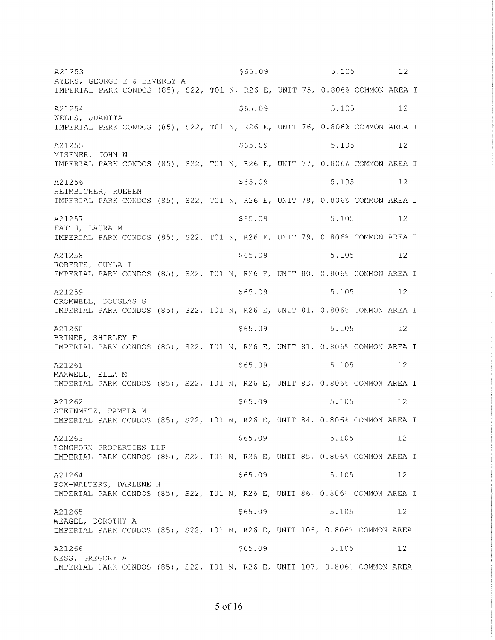\$65.09 5.105 12 A21253 AYERS, GEORGE E & BEVERLY A IMPERIAL PARK CONDOS (85), S22, T01 N, R26 E, UNIT 75, 0.806% COMMON AREA I A21254 \$65.09 5.105 - 12 WELLS, JUANITA IMPERIAL PARK CONDOS (85), S22, T01 N, R26 E, UNIT 76, 0.806% COMMON AREA I A21255  $$65.09$  $5.105$  $12$ MISENER, JOHN N IMPERIAL PARK CONDOS (85), S22, T01 N, R26 E, UNIT 77, 0.806% COMMON AREA I  $$65.09$ 5.105  $12$ A21256 HEIMBICHER, RUEBEN IMPERIAL PARK CONDOS (85), S22, T01 N, R26 E, UNIT 78, 0.806% COMMON AREA I  $$65.09$ 5.105 A21257  $12$ FAITH, LAURA M IMPERIAL PARK CONDOS (85), S22, T01 N, R26 E, UNIT 79, 0.806% COMMON AREA I  $$65.09$ 5.105 A21258  $12$ ROBERTS, GUYLA I IMPERIAL PARK CONDOS (85), S22, T01 N, R26 E, UNIT 80, 0.806% COMMON AREA I A21259 \$65.09 5.105 12 CROMWELL, DOUGLAS G IMPERIAL PARK CONDOS (85), S22, T01 N, R26 E, UNIT 81, 0.806% COMMON AREA I  $$65.09$ A21260 5.105 12 BRINER, SHIRLEY F IMPERIAL PARK CONDOS (85), S22, T01 N, R26 E, UNIT 81, 0.806% COMMON AREA I A21261  $$65.09$ 5.105  $12$ MAXWELL, ELLA M IMPERIAL PARK CONDOS (85), S22, T01 N, R26 E, UNIT 83, 0.806% COMMON AREA I  $$65.09$ 5.105  $12$ A21262 STEINMETZ, PAMELA M IMPERIAL PARK CONDOS (85), S22, T01 N, R26 E, UNIT 84, 0.806% COMMON AREA I  $$65.09$ A21263 5.105 12 LONGHORN PROPERTIES LLP IMPERIAL PARK CONDOS (85), S22, T01 N, R26 E, UNIT 85, 0.806% COMMON AREA I  $$65.09$ 5.105  $12$ A21264 FOX-WALTERS, DARLENE H IMPERIAL PARK CONDOS (85), S22, T01 N, R26 E, UNIT 86, 0.806% COMMON AREA I  $$65.09$ 5.105 A21265  $12$ WEAGEL, DOROTHY A IMPERIAL PARK CONDOS (85), S22, T01 N, R26 E, UNIT 106, 0.806% COMMON AREA A21266  $$65.09$ 5.105  $12$ NESS, GREGORY A IMPERIAL PARK CONDOS (85), S22, T01 N, R26 E, UNIT 107, 0.806% COMMON AREA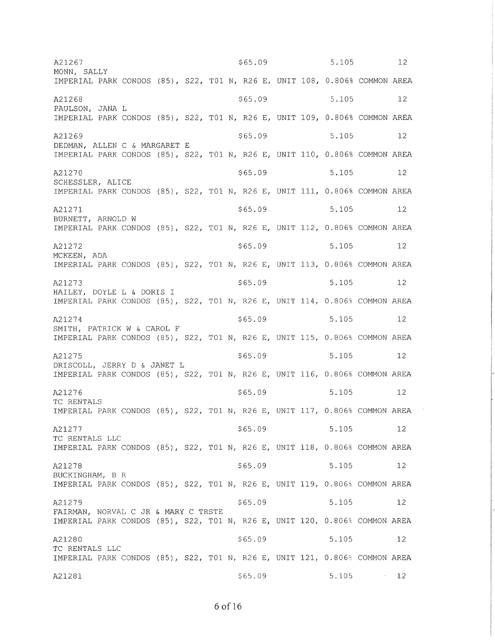$5.105$  $$65.09$ 12 A21267 MONN, SALLY IMPERIAL PARK CONDOS (85), S22, T01 N, R26 E, UNIT 108, 0.806% COMMON AREA  $$65.09$ 5.105 A21268  $12$ PAULSON, JANA L IMPERIAL PARK CONDOS (85), S22, T01 N, R26 E, UNIT 109, 0.806% COMMON AREA  $$65.09$ 5.105  $12$ A21269 DEDMAN, ALLEN C & MARGARET E IMPERIAL PARK CONDOS (85), S22, T01 N, R26 E, UNIT 110, 0.806% COMMON AREA A21270  $$65.09$ 5.105 12 SCHESSLER, ALICE IMPERIAL PARK CONDOS (85), S22, T01 N, R26 E, UNIT 111, 0.806% COMMON AREA \$65.09 5.105  $12$ A21271 BURNETT, ARNOLD W IMPERIAL PARK CONDOS (85), S22, T01 N, R26 E, UNIT 112, 0.806% COMMON AREA  $$65.09$ A21272 5.105  $12$ MCKEEN, ADA IMPERIAL PARK CONDOS (85), S22, T01 N, R26 E, UNIT 113, 0.806% COMMON AREA  $$65.09$ 5.105 12 A21273 HAILEY, DOYLE L & DORIS I IMPERIAL PARK CONDOS (85), S22, T01 N, R26 E, UNIT 114, 0.806% COMMON AREA  $$65.09$ 5.105  $12$ A21274 SMITH, PATRICK W & CAROL F IMPERIAL PARK CONDOS (85), S22, T01 N, R26 E, UNIT 115, 0.806% COMMON AREA  $$65.09$ 5.105  $12$ A21275 DRISCOLL, JERRY D & JANET L IMPERIAL PARK CONDOS (85), S22, T01 N, R26 E, UNIT 116, 0.806% COMMON AREA  $$65.09$ 5.105  $12$ A21276 TC RENTALS IMPERIAL PARK CONDOS (85), S22, T01 N, R26 E, UNIT 117, 0.806% COMMON AREA A21277  $$65.09$ 5.105  $12$ TC RENTALS LLC IMPERIAL PARK CONDOS (85), S22, T01 N, R26 E, UNIT 118, 0.806% COMMON AREA A21278  $$65.09$ 5.105  $12$ BUCKINGHAM, B R IMPERIAL PARK CONDOS (85), S22, T01 N, R26 E, UNIT 119, 0.806% COMMON AREA  $$65.09$ 5.105 12 A21279 FAIRMAN, NORVAL C JR & MARY C TRSTE IMPERIAL PARK CONDOS (85), S22, T01 N, R26 E, UNIT 120, 0.806% COMMON AREA  $$65.09$ A21280 5.105 12 TC RENTALS LLC IMPERIAL PARK CONDOS (85), S22, T01 N, R26 E, UNIT 121, 0.806% COMMON AREA  $$65.09$ 5.105 12 A21281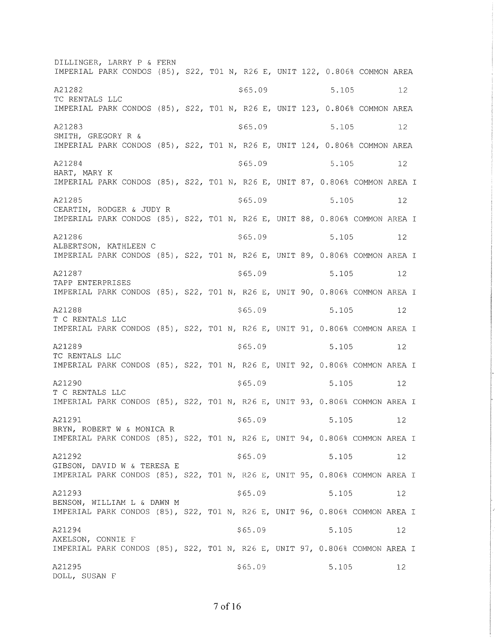DILLINGER, LARRY P & FERN IMPERIAL PARK CONDOS (85), S22, T01 N, R26 E, UNIT 122, 0.806% COMMON AREA A21282  $$65.09$ 5.105  $12$ TC RENTALS LLC IMPERIAL PARK CONDOS (85), S22, T01 N, R26 E, UNIT 123, 0.806% COMMON AREA A21283  $$65.09$ 5.105  $12$ SMITH, GREGORY R & IMPERIAL PARK CONDOS (85), S22, T01 N, R26 E, UNIT 124, 0.806% COMMON AREA A21284  $$65.09$ 5.105  $12$ HART, MARY K IMPERIAL PARK CONDOS (85), S22, T01 N, R26 E, UNIT 87, 0.806% COMMON AREA I  $$65.09$ 5.105 A21285  $12$ CEARTIN, RODGER & JUDY R IMPERIAL PARK CONDOS (85), S22, T01 N, R26 E, UNIT 88, 0.806% COMMON AREA I A21286  $$65.09$ 5.105  $12$ ALBERTSON, KATHLEEN C IMPERIAL PARK CONDOS (85), S22, T01 N, R26 E, UNIT 89, 0.806% COMMON AREA I A21287  $$65.09$ 5.105 12 TAPP ENTERPRISES IMPERIAL PARK CONDOS (85), S22, T01 N, R26 E, UNIT 90, 0.806% COMMON AREA I A21288 \$65.09 5.105  $12$ T C RENTALS LLC IMPERIAL PARK CONDOS (85), S22, T01 N, R26 E, UNIT 91, 0.806% COMMON AREA I A21289  $$65.09$ 5.105  $12$ TC RENTALS LLC IMPERIAL PARK CONDOS (85), S22, T01 N, R26 E, UNIT 92, 0.806% COMMON AREA I A21290  $$65.09$ 5.105  $12$ T C RENTALS LLC IMPERIAL PARK CONDOS (85), S22, T01 N, R26 E, UNIT 93, 0.806% COMMON AREA I A21291  $$65.09$ 5.105  $12$ BRYN, ROBERT W & MONICA R IMPERIAL PARK CONDOS (85), S22, T01 N, R26 E, UNIT 94, 0.806% COMMON AREA I  $$65.09$ A21292 5.105  $12$ GIBSON, DAVID W & TERESA E IMPERIAL PARK CONDOS (85), S22, T01 N, R26 E, UNIT 95, 0.806% COMMON AREA I A21293  $$65.09$ 5.105 12 BENSON, WILLIAM L & DAWN M IMPERIAL PARK CONDOS (85), S22, T01 N, R26 E, UNIT 96, 0.806% COMMON AREA I A21294  $$65.09$ 5.105 12 AXELSON, CONNIE F IMPERIAL PARK CONDOS (85), S22, T01 N, R26 E, UNIT 97, 0.806% COMMON AREA I A21295 \$65.09 5.105  $-12$ DOLL, SUSAN F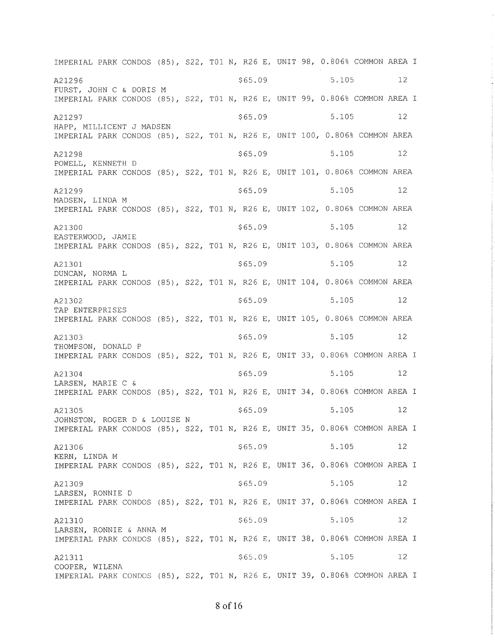IMPERIAL PARK CONDOS (85), S22, T01 N, R26 E, UNIT 98, 0.806% COMMON AREA I \$65.09 5.105  $12$ A21296 FURST, JOHN C & DORIS M IMPERIAL PARK CONDOS (85), S22, T01 N, R26 E, UNIT 99, 0.806% COMMON AREA I  $$65.09$ 5.105  $12$ A21297 HAPP, MILLICENT J MADSEN IMPERIAL PARK CONDOS (85), S22, T01 N, R26 E, UNIT 100, 0.806% COMMON AREA A21298  $$65.09$ 5.105  $12$ POWELL, KENNETH D IMPERIAL PARK CONDOS (85), S22, T01 N, R26 E, UNIT 101, 0.806% COMMON AREA A21299  $$65.09$ 5.105  $12$ MADSEN, LINDA M IMPERIAL PARK CONDOS (85), S22, T01 N, R26 E, UNIT 102, 0.806% COMMON AREA A21300  $$65.09$ 5.105  $12$ EASTERWOOD, JAMIE IMPERIAL PARK CONDOS (85), S22, T01 N, R26 E, UNIT 103, 0.806% COMMON AREA \$65.09 5.105  $12$ A21301 DUNCAN, NORMA L IMPERIAL PARK CONDOS (85), S22, T01 N, R26 E, UNIT 104, 0.806% COMMON AREA  $12$ \$65.09 5.105 A21302 TAP ENTERPRISES IMPERIAL PARK CONDOS (85), S22, T01 N, R26 E, UNIT 105, 0.806% COMMON AREA  $$65.09$ 5.105  $12$ A21303 THOMPSON, DONALD P IMPERIAL PARK CONDOS (85), S22, T01 N, R26 E, UNIT 33, 0.806% COMMON AREA I  $$65.09$ 5.105 12 A21304 LARSEN, MARIE C & IMPERIAL PARK CONDOS (85), S22, T01 N, R26 E, UNIT 34, 0.806% COMMON AREA I  $$65.09$ 5.105  $12$ A21305 JOHNSTON, ROGER D & LOUISE N IMPERIAL PARK CONDOS (85), S22, T01 N, R26 E, UNIT 35, 0.806% COMMON AREA I 5.105 A21306  $$65.09$  $12$ KERN, LINDA M IMPERIAL PARK CONDOS (85), S22, T01 N, R26 E, UNIT 36, 0.806% COMMON AREA I  $$65.09$ 5.105  $12$ A21309 LARSEN, RONNIE D IMPERIAL PARK CONDOS (85), S22, T01 N, R26 E, UNIT 37, 0.806% COMMON AREA I 5.105  $12$  $$65.09$ A21310 LARSEN, RONNIE & ANNA M IMPERIAL PARK CONDOS (85), S22, T01 N, R26 E, UNIT 38, 0.806% COMMON AREA I A21311  $$65.09$ 5.105  $12$ COOPER, WILENA IMPERIAL PARK CONDOS (85), S22, T01 N, R26 E, UNIT 39, 0.806% COMMON AREA I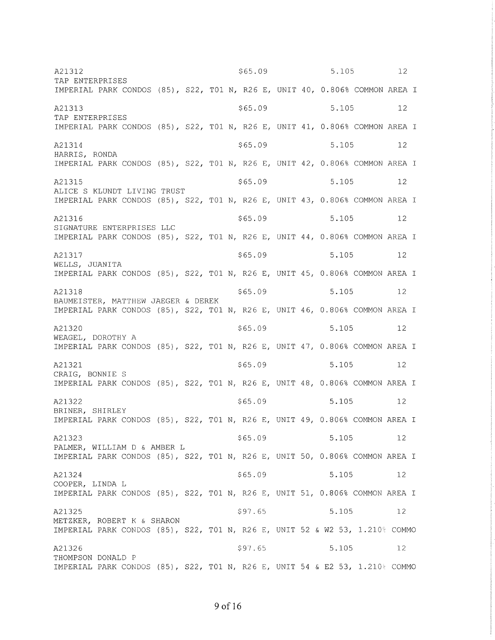$$65.09$  $5.105$  12 A21312 TAP ENTERPRISES IMPERIAL PARK CONDOS (85), S22, T01 N, R26 E, UNIT 40, 0.806% COMMON AREA I  $$65.09$ 5.105 A21313 12 TAP ENTERPRISES IMPERIAL PARK CONDOS (85), S22, T01 N, R26 E, UNIT 41, 0.806% COMMON AREA I A21314  $$65.09$ 5.105  $12$ HARRIS, RONDA IMPERIAL PARK CONDOS (85), S22, T01 N, R26 E, UNIT 42, 0.806% COMMON AREA I A21315  $$65.09$ 5.105 12 ALICE S KLUNDT LIVING TRUST IMPERIAL PARK CONDOS (85), S22, T01 N, R26 E, UNIT 43, 0.806% COMMON AREA I A21316  $$65.09$ 5.105  $12$ SIGNATURE ENTERPRISES LLC IMPERIAL PARK CONDOS (85), S22, T01 N, R26 E, UNIT 44, 0.806% COMMON AREA I  $$65.09$ 5.105 A21317  $12$ WELLS, JUANITA IMPERIAL PARK CONDOS (85), S22, T01 N, R26 E, UNIT 45, 0.806% COMMON AREA I  $$65.09$ 5.105 A21318 12 BAUMEISTER, MATTHEW JAEGER & DEREK IMPERIAL PARK CONDOS (85), S22, T01 N, R26 E, UNIT 46, 0.806% COMMON AREA I  $$65.09$ 5.105 12 A21320 WEAGEL, DOROTHY A IMPERIAL PARK CONDOS (85), S22, T01 N, R26 E, UNIT 47, 0.806% COMMON AREA I  $$65.09$ 5.105 A21321 12 CRAIG, BONNIE S IMPERIAL PARK CONDOS (85), S22, T01 N, R26 E, UNIT 48, 0.806% COMMON AREA I A21322  $$65.09$ 5.105  $12$ BRINER, SHIRLEY IMPERIAL PARK CONDOS (85), S22, T01 N, R26 E, UNIT 49, 0.806% COMMON AREA I  $$65.09$ 5.105 A21323  $-12$ PALMER, WILLIAM D & AMBER L IMPERIAL PARK CONDOS (85), S22, T01 N, R26 E, UNIT 50, 0.806% COMMON AREA I A21324  $12$  $$65.09$ 5.105 COOPER, LINDA L IMPERIAL PARK CONDOS (85), S22, T01 N, R26 E, UNIT 51, 0.806% COMMON AREA I  $$97.65$ 5.105 A21325  $12$ METZKER, ROBERT K & SHARON IMPERIAL PARK CONDOS (85), S22, T01 N, R26 E, UNIT 52 & W2 53, 1.210% COMMO A21326  $$97.65$ 5.105 12 THOMPSON DONALD P IMPERIAL PARK CONDOS (85), S22, T01 N, R26 E, UNIT 54 & E2 53, 1.210€ COMMO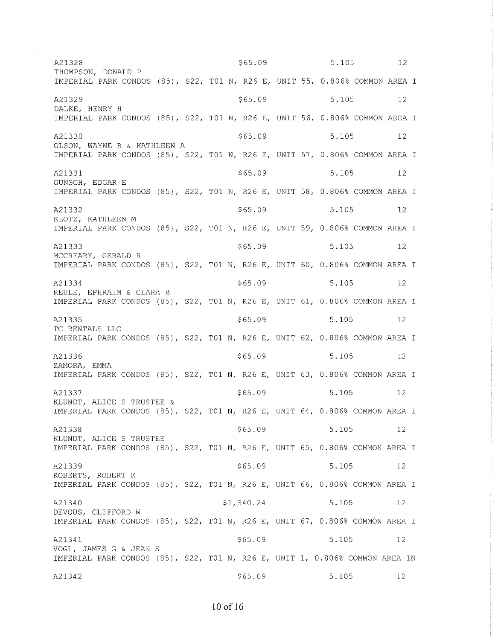$5.105$  12 A21328 \$65.09 THOMPSON, DONALD P IMPERIAL PARK CONDOS (85), S22, T01 N, R26 E, UNIT 55, 0.806% COMMON AREA I \$65.09 A21329 5.105  $12$ DALKE, HENRY H IMPERIAL PARK CONDOS (85), S22, T01 N, R26 E, UNIT 56, 0.806% COMMON AREA I  $$65.09$ A21330 5.105 12 OLSON, WAYNE R & KATHLEEN A IMPERIAL PARK CONDOS (85), S22, T01 N, R26 E, UNIT 57, 0.806% COMMON AREA I  $$65.09$ 5.105 A21331  $12$ GUNSCH, EDGAR E IMPERIAL PARK CONDOS (85), S22, T01 N, R26 E, UNIT 58, 0.806% COMMON AREA I A21332  $$65.09$ 5.105  $12$ KLOTZ, KATHLEEN M IMPERIAL PARK CONDOS (85), S22, T01 N, R26 E, UNIT 59, 0.806% COMMON AREA I A21333  $$65.09$  $5.105$ 12 MCCREARY, GERALD R IMPERIAL PARK CONDOS (85), S22, T01 N, R26 E, UNIT 60, 0.806% COMMON AREA I A21334  $$65.09$ 5.105  $12$ REULE, EPHRAIM & CLARA B IMPERIAL PARK CONDOS (85), S22, T01 N, R26 E, UNIT 61, 0.806% COMMON AREA I  $$65.09$ 5.105  $12$ A21335 TC RENTALS LLC IMPERIAL PARK CONDOS (85), S22, T01 N, R26 E, UNIT 62, 0.806% COMMON AREA I  $$65.09$ 5.105 A21336  $12$ ZAMORA, EMMA IMPERIAL PARK CONDOS (85), S22, T01 N, R26 E, UNIT 63, 0.806% COMMON AREA I A21337 \$65.09 5.105  $12$ KLUNDT, ALICE S TRUSTEE & IMPERIAL PARK CONDOS (85), S22, T01 N, R26 E, UNIT 64, 0.806% COMMON AREA I  $$65.09$ 5.105 A21338  $12$ KLUNDT, ALICE S TRUSTEE IMPERIAL PARK CONDOS (85), S22, T01 N, R26 E, UNIT 65, 0.806% COMMON AREA I A21339  $$65.09$ 5.105 12 ROBERTS, ROBERT K IMPERIAL PARK CONDOS (85), S22, T01 N, R26 E, UNIT 66, 0.806% COMMON AREA I \$1,340.24 A21340 5.105 12 DEVOUS, CLIFFORD W IMPERIAL PARK CONDOS (85), S22, T01 N, R26 E, UNIT 67, 0.806% COMMON AREA I  $$65.09$ 5.105 A21341  $12$ VOGL, JAMES G & JEAN S IMPERIAL PARK CONDOS (85), S22, T01 N, R26 E, UNIT 1, 0.806% COMMON AREA IN A21342  $$65.09$ 5.105 12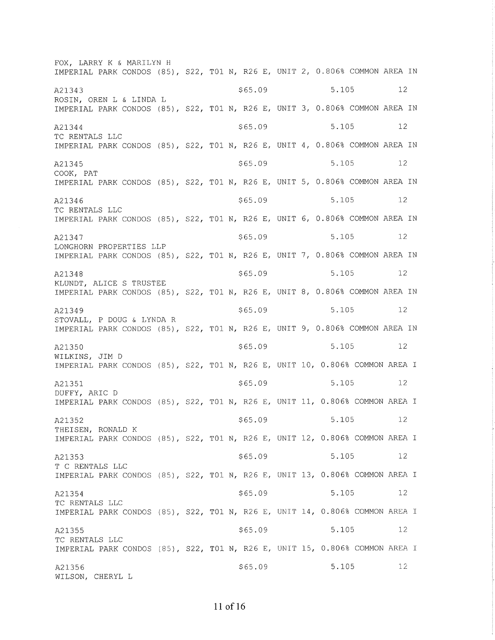FOX, LARRY K & MARILYN <sup>H</sup> IMPERIAL PARK CONDOS (85), S22, T01 N, R26 E, UNIT 2, 0.806% COMMON AREA IN A21343 **5.105** 5.105 **12** ROSIN, OREN L & LINDA L IMPERIAL PARK CONDOS (85), S22, T01 N, R26 E, UNIT 3, 0.806% COMMON AREA IN A21344 **5.105** Specifical Section of the Section of Section  $\frac{5.105}{2.5}$  Section  $\frac{5.105}{2.5}$ TC RENTALS LLC IMPERIAL PARK CONDOS (85), S22, T01 N, R26 E, UNIT 4, 0.806% COMMON AREA IN A21345 **5.105** 5.105 **12** COOK, PAT IMPERIAL PARK CONDOS (85), S22, T01 N, R26 E, UNIT 5, 0.806% COMMON AREA IN  $A21346$   $$65.09$   $$12$ TC RENTALS LLC IMPERIAL PARK CONDOS (85), S22, T01 N, R26 E, UNIT 6, 0.806% COMMON AREA IN  $A21347$   $$65.09$   $$5.105$   $12$ LONGHORN PROPERTIES LLP IMPERIAL PARK CONDOS (85), S22, T01 N, R26 E, UNIT 7, 0.806% COMMON AREA IN A21348 5.105 5.105 5.105 5.105 5.105 5.105 5.105 5.105 5.105 5.105 5.105 5.105 5.105 5.105 5.105 5.105 5.105 5 KLUNDT, ALTCE S TRUSTEE IMPERIAL PARK CONDOS (85), S22, T01 N, R26 E, UNIT 8, 0.806% COMMON AREA IN A21349 **5.105** 5.105 **12** STOVALL, P DOUG & LYNDA <sup>R</sup> IMPERIAL PARK CONDOS (85), S22, T01 N, R26 E, UNIT 9, 0.806% COMMON AREA IN A21350 5.105 5.105 5.105 5.105 5.105 5.105 5.105 5.105 5.105 5.105 5.105 5.105 5.105 5.105 5.105 5.105 5.105 5 WILKINS, JIM D IMPERIAL PARK CONDOS (85), S22, T01 N, R26 E, UNIT 10, 0.806% COMMON AREA I A21351 5.105 5.105 5.105 5.105 5.105 5.105 5.105 5.105 5.105 5.105 5.105 5 DUFFY, ARIC <sup>D</sup> IMPERIAL PARK CONDOS (85), S22, T01 N, R26 E, UNIT 11, 0.806% COMMON AREA I  $\frac{12}{2}$   $\frac{12}{2}$   $\frac{12}{2}$   $\frac{12}{2}$   $\frac{12}{2}$   $\frac{12}{2}$   $\frac{12}{2}$   $\frac{12}{2}$   $\frac{12}{2}$   $\frac{12}{2}$   $\frac{12}{2}$   $\frac{12}{2}$   $\frac{12}{2}$   $\frac{12}{2}$   $\frac{12}{2}$   $\frac{12}{2}$   $\frac{12}{2}$   $\frac{12}{2}$   $\frac{12}{2}$   $\frac{12}{2}$  THETSEN, RONALD K IMPERIAL PARK CONDOS (85), S22, T01 N, R26 E, UNIT 12, 0.806% COMMON AREA I  $A21353$   $$65.09$   $$12$ T C RENTALS LLC IMPERIAL PARK CONDOS (85), S22, T01 N, R26 E, UNIT 13, 0.806% COMMON AREA I A21354 5.105 5.105 5.105 5.105 5.105 5.105 5.105 5.105 5.105 5.105 5.105 5.105 5.105 TC RENTALS LLC IMPERIAL PARK CONDOS (85), S22, T01 N, R26 E, UNIT 14, 0.806% COMMON AREA I  $A21355$   $5.105$   $12$ TC RENTALS LLC TMPERTAL PARK CONDOS (85), 522, T01 N, R26 E, UNIT 15, 0.806% COMMON AREA r A21356 WILSON, CHERYL L \$6s.09 5. 105 12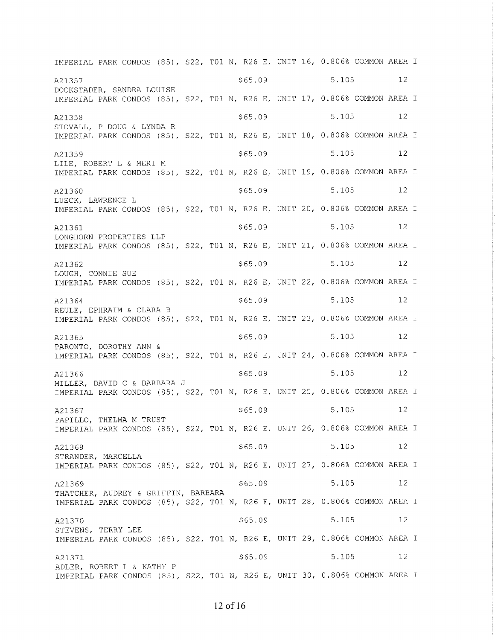IMPERIAL PARK CONDOS (85), S22, T01 N, R26 E, UNIT 16, 0.806% COMMON AREA I  $\frac{1}{2}$   $\frac{1}{2}$   $\frac{1}{2}$   $\frac{1}{2}$   $\frac{1}{2}$   $\frac{1}{2}$   $\frac{1}{2}$   $\frac{1}{2}$   $\frac{1}{2}$   $\frac{1}{2}$   $\frac{1}{2}$   $\frac{1}{2}$   $\frac{1}{2}$   $\frac{1}{2}$   $\frac{1}{2}$   $\frac{1}{2}$   $\frac{1}{2}$   $\frac{1}{2}$   $\frac{1}{2}$   $\frac{1}{2}$   $\frac{1}{2}$   $\frac{1}{2}$  DOCKSTADER, SANDRA LOUISE IMPERIAL PARK CONDOS (85), S22, T01 N, R26 E, UNIT 17, 0.806% COMMON AREA I  $A21358$   $$65.09$   $$12$ STOVALL, P DOUG & LYNDA <sup>R</sup> IMPERIAL PARK CONDOS (85), S22, T01 N, R26 E, UNIT 18, 0.806% COMMON AREA I  $\frac{12}{2}$   $\frac{12}{2}$   $\frac{12}{2}$   $\frac{12}{2}$   $\frac{12}{2}$   $\frac{12}{2}$   $\frac{12}{2}$   $\frac{12}{2}$   $\frac{12}{2}$   $\frac{12}{2}$   $\frac{12}{2}$   $\frac{12}{2}$   $\frac{12}{2}$   $\frac{12}{2}$   $\frac{12}{2}$   $\frac{12}{2}$   $\frac{12}{2}$   $\frac{12}{2}$   $\frac{12}{2}$   $\frac{12}{2}$  LILE, ROBERT L & MERI <sup>M</sup> IMPERIAL PARK CONDOS (85), S22, T01 N, R26 E, UNIT 19, 0.806% COMMON AREA I  $A21360$   $$65.09$   $$12$ LUECK, LAWRENCE L IMPERIAL PARK CONDOS (85), S22, T01 N, R26 E, UNIT 20, 0.806% COMMON AREA I A21361 5.105 5.105 5.105 5.105 5.105 5.105 5.105 5.105 5.105 5.105 5.105 5 LONGHORN PROPERTIES LLP IMPERIAL PARK CONDOS (85), S22, T01 N, R26 E, UNIT 21, 0.806% COMMON AREA I A21362 5.105 5.105 5.105 5.105 5.105 5.105 5.105 5.105 5.105 5.105 5.105 5 LOUGH, CONNIE SUE IMPERIAL PARK CONDOS (85), S22, T01 N, R26 E, UNIT 22, 0.806% COMMON AREA I A21364 5.105 5.105 5.105 5.105 5.105 5.105 5.105 5.105 5.105 5.105 5.105 5.105 5.105 REULE, EPHRAIM & CLARA <sup>B</sup> IMPERIAL PARK CONDOS (85), S22, T01 N, R26 E, UNIT 23, 0.806% COMMON AREA I  $\frac{121365}{12}$  \$65.09 5.105 12 PARONTO, DOROTHY ANN & IMPERIAL PARK CONDOS (85), S22, T01 N, R26 E, UNIT 24, 0.806% COMMON AREA I  $\frac{121366}{ }$   $\frac{5.105}{ }$  12 MILLER, DAVID C & BARBARA J IMPERIAL PARK CONDOS (85), S22, T01 N, R26 E, UNIT 25, 0.806% COMMON AREA I  $\frac{12}{2}$   $\frac{12}{2}$   $\frac{12}{2}$   $\frac{12}{2}$   $\frac{12}{2}$   $\frac{12}{2}$   $\frac{12}{2}$   $\frac{12}{2}$   $\frac{12}{2}$   $\frac{12}{2}$   $\frac{12}{2}$   $\frac{12}{2}$   $\frac{12}{2}$   $\frac{12}{2}$   $\frac{12}{2}$   $\frac{12}{2}$   $\frac{12}{2}$   $\frac{12}{2}$   $\frac{12}{2}$   $\frac{12}{2}$  PAPTLLO, THELMA M TRUST IMPERIAL PARK CONDOS (85), S22, T01 N, R26 E, UNIT 26, 0.806% COMMON AREA I A21368 5.105 5.105 5.105 5.105 5.105 5.105 5.105 5.105 5.105 5.105 5.105 5.105 5.105 5.105 5.105 5.105 5.105 5 STRANDER, MARCELLA IMPERIAL PARK CONDOS (85), S22, T01 N, R26 E, UNIT 27, 0.806% COMMON AREA I  $\frac{12}{2}$   $\frac{12}{2}$   $\frac{12}{2}$   $\frac{12}{2}$   $\frac{12}{2}$   $\frac{12}{2}$   $\frac{12}{2}$   $\frac{12}{2}$   $\frac{12}{2}$   $\frac{12}{2}$   $\frac{12}{2}$   $\frac{12}{2}$   $\frac{12}{2}$   $\frac{12}{2}$   $\frac{12}{2}$   $\frac{12}{2}$   $\frac{12}{2}$   $\frac{12}{2}$   $\frac{12}{2}$   $\frac{12}{2}$  THATCHER, AUDREY & GRIFFIN, BARBARA IMPER]AL PARK CONDOS (85), 522, TO1 N, R26 E, UNIT 28, O.806% COMMON AREA I A21370 \$65.09 \$65.09 5.105 12 STEVENS, TERRY LEE IMPERIAL PARK CONDOS (85), 522, TO1 N, R26 E, UNTT 29, 0.806% COMMON AREA <sup>T</sup> A21371 \$65.09 5.105 5.105 ADLER, ROBERT L & KATHY <sup>P</sup> IMPERIAL PARK CONDOS (E5), 522, TO1 N, R26 E, UNIT 30, 0.806% COMMON AREA I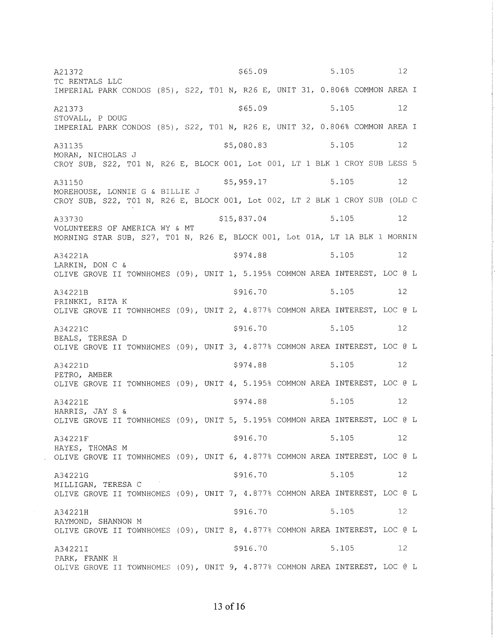$$65.09$  $5.105$  12 A21372 TC RENTALS LLC IMPERIAL PARK CONDOS (85), S22, T01 N, R26 E, UNIT 31, 0.806% COMMON AREA I 12 A21373  $$65.09$ 5.105 STOVALL, P DOUG IMPERIAL PARK CONDOS (85), S22, T01 N, R26 E, UNIT 32, 0.806% COMMON AREA I A31135 \$5,080.83 5.105 12 MORAN, NICHOLAS J CROY SUB, S22, T01 N, R26 E, BLOCK 001, Lot 001, LT 1 BLK 1 CROY SUB LESS 5 \$5,959.17 5.105  $12$ A31150 MOREHOUSE, LONNIE G & BILLIE J CROY SUB, S22, T01 N, R26 E, BLOCK 001, Lot 002, LT 2 BLK 1 CROY SUB (OLD C  $$15,837.04$ 5.105 12 A33730 VOLUNTEERS OF AMERICA WY & MT MORNING STAR SUB, S27, T01 N, R26 E, BLOCK 001, Lot 01A, LT 1A BLK 1 MORNIN 5.105 \$974.88  $12$ A34221A LARKIN, DON C & OLIVE GROVE II TOWNHOMES (09), UNIT 1, 5.195% COMMON AREA INTEREST, LOC @ L A34221B \$916.70 5.105 12 PRINKKI, RITA K OLIVE GROVE II TOWNHOMES (09), UNIT 2, 4.877% COMMON AREA INTEREST, LOC @ L \$916.70 5.105 12 A34221C BEALS, TERESA D OLIVE GROVE II TOWNHOMES (09), UNIT 3, 4.877% COMMON AREA INTEREST, LOC @ L 5.105 \$974.88 12 A34221D PETRO, AMBER OLIVE GROVE II TOWNHOMES (09), UNIT 4, 5.195% COMMON AREA INTEREST, LOC @ L \$974.88 5.105  $12$ A34221E HARRIS, JAY S & OLIVE GROVE II TOWNHOMES (09), UNIT 5, 5.195% COMMON AREA INTEREST, LOC @ L  $$916.70$ 5.105  $\begin{array}{ccc} & & 12 \end{array}$ A34221F HAYES, THOMAS M OLIVE GROVE II TOWNHOMES (09), UNIT 6, 4.877% COMMON AREA INTEREST, LOC @ L \$916.70 5.105 12 A34221G MILLIGAN, TERESA C OLIVE GROVE II TOWNHOMES (09), UNIT 7, 4.877% COMMON AREA INTEREST, LOC @ L \$916.70 5.105  $12$ A34221H RAYMOND, SHANNON M OLIVE GROVE II TOWNHOMES (09), UNIT 8, 4.877% COMMON AREA INTEREST, LOC @ L A34221I \$916.70 5.105 12 PARK, FRANK H OLIVE GROVE II TOWNHOMES (09), UNIT 9, 4.877% COMMON AREA INTEREST, LOC @ L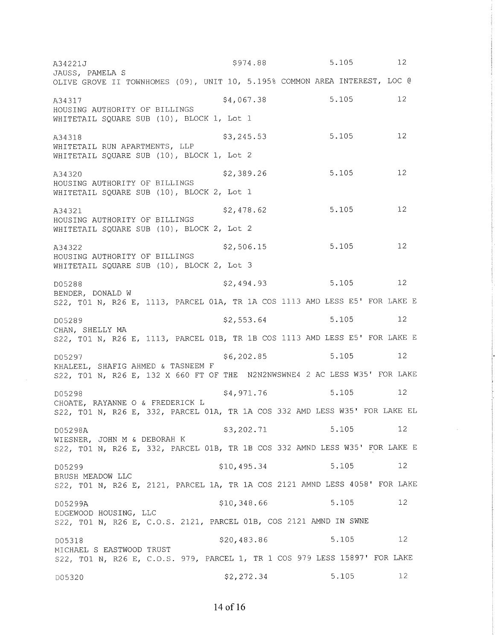| A34221J                                                                                                                           | \$974.88    | 5.105 | $12 \,$           |  |
|-----------------------------------------------------------------------------------------------------------------------------------|-------------|-------|-------------------|--|
| JAUSS, PAMELA S<br>OLIVE GROVE II TOWNHOMES (09), UNIT 10, 5.195% COMMON AREA INTEREST, LOC @                                     |             |       |                   |  |
| A34317<br>HOUSING AUTHORITY OF BILLINGS<br>WHITETAIL SQUARE SUB (10), BLOCK 1, Lot 1                                              | \$4,067.38  | 5.105 | $12 \overline{ }$ |  |
| A34318<br>WHITETAIL RUN APARTMENTS, LLP<br>WHITETAIL SQUARE SUB (10), BLOCK 1, Lot 2                                              | \$3,245.53  | 5.105 | 12                |  |
| A34320<br>HOUSING AUTHORITY OF BILLINGS                                                                                           | \$2,389.26  | 5.105 | 12                |  |
| WHITETAIL SQUARE SUB (10), BLOCK 2, Lot 1<br>A34321<br>HOUSING AUTHORITY OF BILLINGS<br>WHITETAIL SQUARE SUB (10), BLOCK 2, Lot 2 | \$2,478.62  | 5.105 | 12                |  |
| A34322<br>HOUSING AUTHORITY OF BILLINGS<br>WHITETAIL SQUARE SUB (10), BLOCK 2, Lot 3                                              | \$2,506.15  | 5.105 | 12                |  |
| D05288<br>BENDER, DONALD W<br>S22, TO1 N, R26 E, 1113, PARCEL 01A, TR 1A COS 1113 AMD LESS E5' FOR LAKE E                         | \$2,494.93  | 5.105 | 12                |  |
| D05289<br>CHAN, SHELLY MA<br>S22, TO1 N, R26 E, 1113, PARCEL 01B, TR 1B COS 1113 AMD LESS E5' FOR LAKE E                          | \$2,553.64  | 5.105 | 12 <sup>°</sup>   |  |
| D05297<br>KHALEEL, SHAFIG AHMED & TASNEEM F<br>S22, TO1 N, R26 E, 132 X 660 FT OF THE N2N2NWSWNE4 2 AC LESS W35' FOR LAKE         | \$6, 202.85 | 5.105 | 12 <sup>°</sup>   |  |
| D05298<br>CHOATE, RAYANNE O & FREDERICK L<br>S22, T01 N, R26 E, 332, PARCEL 01A, TR 1A COS 332 AMD LESS W35' FOR LAKE EL          | \$4,971.76  | 5.105 | 12 <sup>°</sup>   |  |
| D05298A<br>WIESNER, JOHN M & DEBORAH K<br>S22, T01 N, R26 E, 332, PARCEL 01B, TR 1B COS 332 AMND LESS W35' FOR LAKE E             | \$3,202.71  | 5.105 | 12                |  |
| D05299<br>BRUSH MEADOW LLC<br>S22, TO1 N, R26 E, 2121, PARCEL 1A, TR 1A COS 2121 AMND LESS 4058' FOR LAKE                         | \$10,495.34 | 5.105 | 12                |  |
| D05299A<br>EDGEWOOD HOUSING, LLC<br>S22, T01 N, R26 E, C.O.S. 2121, PARCEL 01B, COS 2121 AMND IN SWNE                             | \$10,348.66 | 5.105 | 12                |  |
| D05318<br>MICHAEL S EASTWOOD TRUST<br>S22, T01 N, R26 E, C.O.S. 979, PARCEL 1, TR 1 COS 979 LESS 15897' FOR LAKE                  | \$20,483.86 | 5.105 | 12                |  |
| D05320                                                                                                                            | \$2,272.34  | 5.105 | 12                |  |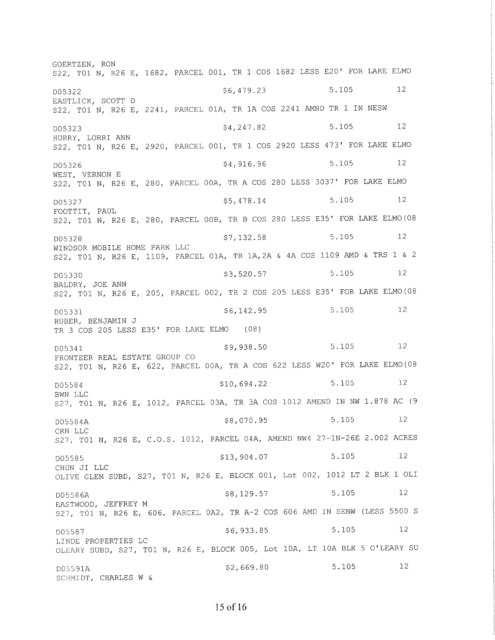GOERTZEN, RON S22, T01 N, R26 E, 1682, PARCEL 001, TR 1 COS 1682 LESS E20' FOR LAKE ELMO 12  $$6,479.23$ 5.105 D05322 EASTLICK, SCOTT D S22, T01 N, R26 E, 2241, PARCEL 01A, TR 1A COS 2241 AMND TR 1 IN NESW 12  $$4, 247.82$ 5.105 D05323 HURRY, LORRI ANN S22, T01 N, R26 E, 2920, PARCEL 001, TR 1 COS 2920 LESS 473' FOR LAKE ELMO 5.105 \$4,916.96  $12$ D05326 WEST, VERNON E S22, T01 N, R26 E, 280, PARCEL 00A, TR A COS 280 LESS 3037' FOR LAKE ELMO 5.105  $12$ \$5,478.14 D05327 FOOTTIT, PAUL S22, T01 N, R26 E, 280, PARCEL 00B, TR B COS 280 LESS E35' FOR LAKE ELMO(08 5.105 12  $$7,132.58$ D05328 WINDSOR MOBILE HOME PARK LLC S22, T01 N, R26 E, 1109, PARCEL 01A, TR 1A, 2A & 4A COS 1109 AMD & TRS 1 & 2 5,105 12  $$3,520.57$ D05330 BALDRY, JOE ANN S22, T01 N, R26 E, 205, PARCEL 002, TR 2 COS 205 LESS E35' FOR LAKE ELMO(08  $5.105$  $12$  $$6, 142.95$ D05331 HUBER, BENJAMIN J TR 3 COS 205 LESS E35' FOR LAKE ELMO (08) 12 5.105 \$9,938.50 D05341 FRONTEER REAL ESTATE GROUP CO S22, T01 N, R26 E, 622, PARCEL 00A, TR A COS 622 LESS W20' FOR LAKE ELMO(08  $12$ 5.105 \$10,694.22 D05584 **BWN LLC** S27, T01 N, R26 E, 1012, PARCEL 03A, TR 3A COS 1012 AMEND IN NW 1.878 AC (9  $12$ 5.105 \$8,070.95 D05584A CRN LLC S27, T01 N, R26 E, C.O.S. 1012, PARCEL 04A, AMEND NW4 27-1N-26E 2.002 ACRES 5.105 12 \$13,904.07 D05585 CHUN JI LLC OLIVE GLEN SUBD, S27, T01 N, R26 E, BLOCK 001, Lot 002, 1012 LT 2 BLK 1 OLI \$8,129.57 5.105  $12$ D05586A EASTWOOD, JEFFREY M S27, TO1 N, R26 E, 606, PARCEL 0A2, TR A-2 COS 606 AMD IN SENW (LESS 5500 S 5.105  $12$ \$6,933.85 D05587 LINDE PROPERTIES LC OLEARY SUBD, S27, T01 N, R26 E, BLOCK 005, Lot 10A, LT 10A BLK 5 O'LEARY SU 5.105 12  $$2,669.80$ D05591A SCHMIDT, CHARLES W &